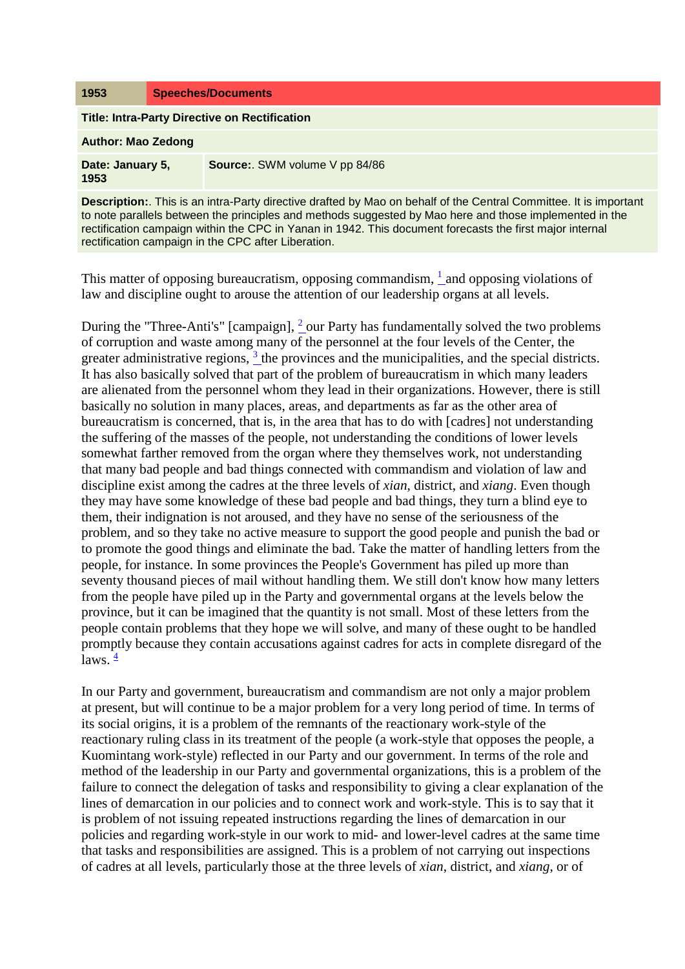## **1953 Speeches/Documents**

**Title: Intra-Party Directive on Rectification**

**Author: Mao Zedong**

| Date: January 5, | Source:. SWM volume V pp 84/86 |
|------------------|--------------------------------|
| 1953             |                                |

**Description:**. This is an intra-Party directive drafted by Mao on behalf of the Central Committee. It is important to note parallels between the principles and methods suggested by Mao here and those implemented in the rectification campaign within the CPC in Yanan in 1942. This document forecasts the first major internal rectification campaign in the CPC after Liberation.

This matter of opposing bureaucratism, opposing commandism,  $\frac{1}{1}$  and opposing violations of law and discipline ought to arouse the attention of our leadership organs at all levels.

During the "Three-Anti's" [campaign],  $\frac{2}{3}$  our Party has fundamentally solved the two problems of corruption and waste among many of the personnel at the four levels of the Center, the greater administrative regions,  $3$  the provinces and the municipalities, and the special districts. It has also basically solved that part of the problem of bureaucratism in which many leaders are alienated from the personnel whom they lead in their organizations. However, there is still basically no solution in many places, areas, and departments as far as the other area of bureaucratism is concerned, that is, in the area that has to do with [cadres] not understanding the suffering of the masses of the people, not understanding the conditions of lower levels somewhat farther removed from the organ where they themselves work, not understanding that many bad people and bad things connected with commandism and violation of law and discipline exist among the cadres at the three levels of *xian*, district, and *xiang*. Even though they may have some knowledge of these bad people and bad things, they turn a blind eye to them, their indignation is not aroused, and they have no sense of the seriousness of the problem, and so they take no active measure to support the good people and punish the bad or to promote the good things and eliminate the bad. Take the matter of handling letters from the people, for instance. In some provinces the People's Government has piled up more than seventy thousand pieces of mail without handling them. We still don't know how many letters from the people have piled up in the Party and governmental organs at the levels below the province, but it can be imagined that the quantity is not small. Most of these letters from the people contain problems that they hope we will solve, and many of these ought to be handled promptly because they contain accusations against cadres for acts in complete disregard of the laws.  $\frac{4}{3}$ 

In our Party and government, bureaucratism and commandism are not only a major problem at present, but will continue to be a major problem for a very long period of time. In terms of its social origins, it is a problem of the remnants of the reactionary work-style of the reactionary ruling class in its treatment of the people (a work-style that opposes the people, a Kuomintang work-style) reflected in our Party and our government. In terms of the role and method of the leadership in our Party and governmental organizations, this is a problem of the failure to connect the delegation of tasks and responsibility to giving a clear explanation of the lines of demarcation in our policies and to connect work and work-style. This is to say that it is problem of not issuing repeated instructions regarding the lines of demarcation in our policies and regarding work-style in our work to mid- and lower-level cadres at the same time that tasks and responsibilities are assigned. This is a problem of not carrying out inspections of cadres at all levels, particularly those at the three levels of *xian*, district, and *xiang*, or of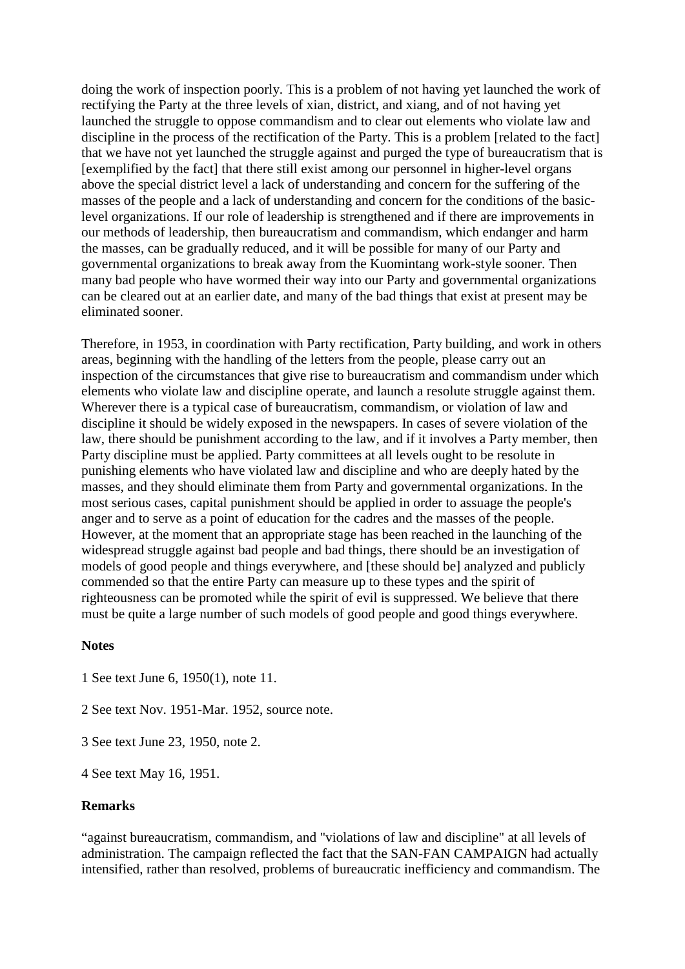doing the work of inspection poorly. This is a problem of not having yet launched the work of rectifying the Party at the three levels of xian, district, and xiang, and of not having yet launched the struggle to oppose commandism and to clear out elements who violate law and discipline in the process of the rectification of the Party. This is a problem [related to the fact] that we have not yet launched the struggle against and purged the type of bureaucratism that is [exemplified by the fact] that there still exist among our personnel in higher-level organs above the special district level a lack of understanding and concern for the suffering of the masses of the people and a lack of understanding and concern for the conditions of the basiclevel organizations. If our role of leadership is strengthened and if there are improvements in our methods of leadership, then bureaucratism and commandism, which endanger and harm the masses, can be gradually reduced, and it will be possible for many of our Party and governmental organizations to break away from the Kuomintang work-style sooner. Then many bad people who have wormed their way into our Party and governmental organizations can be cleared out at an earlier date, and many of the bad things that exist at present may be eliminated sooner.

Therefore, in 1953, in coordination with Party rectification, Party building, and work in others areas, beginning with the handling of the letters from the people, please carry out an inspection of the circumstances that give rise to bureaucratism and commandism under which elements who violate law and discipline operate, and launch a resolute struggle against them. Wherever there is a typical case of bureaucratism, commandism, or violation of law and discipline it should be widely exposed in the newspapers. In cases of severe violation of the law, there should be punishment according to the law, and if it involves a Party member, then Party discipline must be applied. Party committees at all levels ought to be resolute in punishing elements who have violated law and discipline and who are deeply hated by the masses, and they should eliminate them from Party and governmental organizations. In the most serious cases, capital punishment should be applied in order to assuage the people's anger and to serve as a point of education for the cadres and the masses of the people. However, at the moment that an appropriate stage has been reached in the launching of the widespread struggle against bad people and bad things, there should be an investigation of models of good people and things everywhere, and [these should be] analyzed and publicly commended so that the entire Party can measure up to these types and the spirit of righteousness can be promoted while the spirit of evil is suppressed. We believe that there must be quite a large number of such models of good people and good things everywhere.

## **Notes**

- 1 See text June 6, 1950(1), note 11.
- 2 See text Nov. 1951-Mar. 1952, source note.
- 3 See text June 23, 1950, note 2.
- 4 See text May 16, 1951.

## **Remarks**

"against bureaucratism, commandism, and "violations of law and discipline" at all levels of administration. The campaign reflected the fact that the SAN-FAN CAMPAIGN had actually intensified, rather than resolved, problems of bureaucratic inefficiency and commandism. The